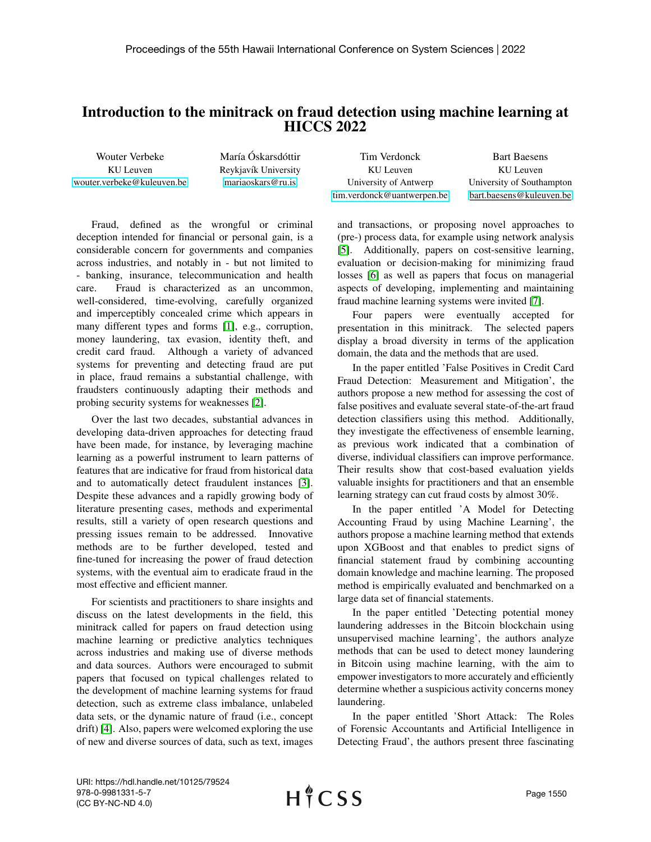## Introduction to the minitrack on fraud detection using machine learning at HICCS 2022

| Wouter Verbeke             | María Óskarsdóttir   | Tim Verdonck               | <b>Bart Baesens</b>       |
|----------------------------|----------------------|----------------------------|---------------------------|
| KU Leuven                  | Reykjavík University | KU Leuven                  | KU Leuven                 |
| wouter.verbeke@kuleuven.be | mariaoskars@ru.is    | University of Antwerp      | University of Southampton |
|                            |                      | tim.verdonck@uantwerpen.be | bart.baesens@kuleuven.be  |

Fraud, defined as the wrongful or criminal deception intended for financial or personal gain, is a considerable concern for governments and companies across industries, and notably in - but not limited to - banking, insurance, telecommunication and health care. Fraud is characterized as an uncommon, well-considered, time-evolving, carefully organized and imperceptibly concealed crime which appears in many different types and forms [\[1\]](#page-1-0), e.g., corruption, money laundering, tax evasion, identity theft, and credit card fraud. Although a variety of advanced systems for preventing and detecting fraud are put in place, fraud remains a substantial challenge, with fraudsters continuously adapting their methods and probing security systems for weaknesses [\[2\]](#page-1-1).

Over the last two decades, substantial advances in developing data-driven approaches for detecting fraud have been made, for instance, by leveraging machine learning as a powerful instrument to learn patterns of features that are indicative for fraud from historical data and to automatically detect fraudulent instances [\[3\]](#page-1-2). Despite these advances and a rapidly growing body of literature presenting cases, methods and experimental results, still a variety of open research questions and pressing issues remain to be addressed. Innovative methods are to be further developed, tested and fine-tuned for increasing the power of fraud detection systems, with the eventual aim to eradicate fraud in the most effective and efficient manner.

For scientists and practitioners to share insights and discuss on the latest developments in the field, this minitrack called for papers on fraud detection using machine learning or predictive analytics techniques across industries and making use of diverse methods and data sources. Authors were encouraged to submit papers that focused on typical challenges related to the development of machine learning systems for fraud detection, such as extreme class imbalance, unlabeled data sets, or the dynamic nature of fraud (i.e., concept drift) [\[4\]](#page-1-3). Also, papers were welcomed exploring the use of new and diverse sources of data, such as text, images

and transactions, or proposing novel approaches to (pre-) process data, for example using network analysis [\[5\]](#page-1-4). Additionally, papers on cost-sensitive learning, evaluation or decision-making for minimizing fraud losses [\[6\]](#page-1-5) as well as papers that focus on managerial aspects of developing, implementing and maintaining fraud machine learning systems were invited [\[7\]](#page-1-6).

Four papers were eventually accepted for presentation in this minitrack. The selected papers display a broad diversity in terms of the application domain, the data and the methods that are used.

In the paper entitled 'False Positives in Credit Card Fraud Detection: Measurement and Mitigation', the authors propose a new method for assessing the cost of false positives and evaluate several state-of-the-art fraud detection classifiers using this method. Additionally, they investigate the effectiveness of ensemble learning, as previous work indicated that a combination of diverse, individual classifiers can improve performance. Their results show that cost-based evaluation yields valuable insights for practitioners and that an ensemble learning strategy can cut fraud costs by almost 30%.

In the paper entitled 'A Model for Detecting Accounting Fraud by using Machine Learning', the authors propose a machine learning method that extends upon XGBoost and that enables to predict signs of financial statement fraud by combining accounting domain knowledge and machine learning. The proposed method is empirically evaluated and benchmarked on a large data set of financial statements.

In the paper entitled 'Detecting potential money laundering addresses in the Bitcoin blockchain using unsupervised machine learning', the authors analyze methods that can be used to detect money laundering in Bitcoin using machine learning, with the aim to empower investigators to more accurately and efficiently determine whether a suspicious activity concerns money laundering.

In the paper entitled 'Short Attack: The Roles of Forensic Accountants and Artificial Intelligence in Detecting Fraud', the authors present three fascinating

URI: https://hdl.handle.net/10125/79524 978-0-9981331-5-7 (CC BY-NC-ND 4.0)